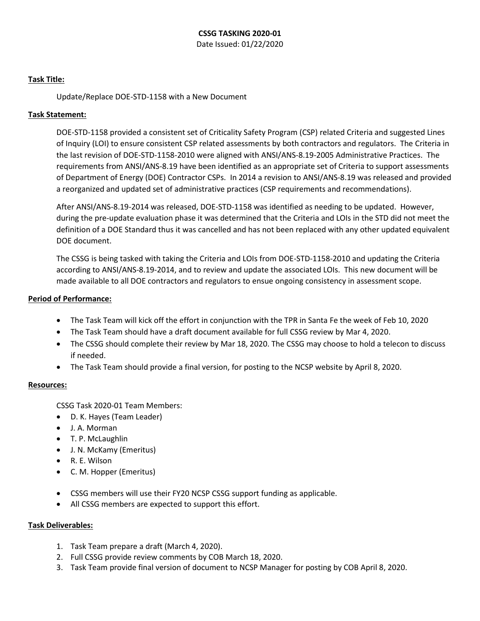# **CSSG TASKING 2020-01**

Date Issued: 01/22/2020

## **Task Title:**

Update/Replace DOE-STD-1158 with a New Document

## **Task Statement:**

DOE-STD-1158 provided a consistent set of Criticality Safety Program (CSP) related Criteria and suggested Lines of Inquiry (LOI) to ensure consistent CSP related assessments by both contractors and regulators. The Criteria in the last revision of DOE-STD-1158-2010 were aligned with ANSI/ANS-8.19-2005 Administrative Practices. The requirements from ANSI/ANS-8.19 have been identified as an appropriate set of Criteria to support assessments of Department of Energy (DOE) Contractor CSPs. In 2014 a revision to ANSI/ANS-8.19 was released and provided a reorganized and updated set of administrative practices (CSP requirements and recommendations).

After ANSI/ANS-8.19-2014 was released, DOE-STD-1158 was identified as needing to be updated. However, during the pre-update evaluation phase it was determined that the Criteria and LOIs in the STD did not meet the definition of a DOE Standard thus it was cancelled and has not been replaced with any other updated equivalent DOE document.

The CSSG is being tasked with taking the Criteria and LOIs from DOE-STD-1158-2010 and updating the Criteria according to ANSI/ANS-8.19-2014, and to review and update the associated LOIs. This new document will be made available to all DOE contractors and regulators to ensue ongoing consistency in assessment scope.

## **Period of Performance:**

- The Task Team will kick off the effort in conjunction with the TPR in Santa Fe the week of Feb 10, 2020
- The Task Team should have a draft document available for full CSSG review by Mar 4, 2020.
- The CSSG should complete their review by Mar 18, 2020. The CSSG may choose to hold a telecon to discuss if needed.
- The Task Team should provide a final version, for posting to the NCSP website by April 8, 2020.

#### **Resources:**

CSSG Task 2020-01 Team Members:

- D. K. Hayes (Team Leader)
- J. A. Morman
- T. P. McLaughlin
- J. N. McKamy (Emeritus)
- R. E. Wilson
- C. M. Hopper (Emeritus)
- CSSG members will use their FY20 NCSP CSSG support funding as applicable.
- All CSSG members are expected to support this effort.

#### **Task Deliverables:**

- 1. Task Team prepare a draft (March 4, 2020).
- 2. Full CSSG provide review comments by COB March 18, 2020.
- 3. Task Team provide final version of document to NCSP Manager for posting by COB April 8, 2020.